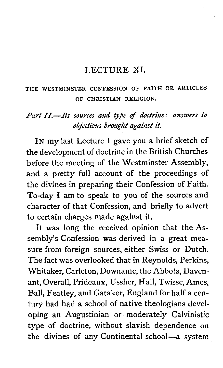#### LECTURE XI.

#### THE WESTMINSTER CONFESSION OF FAITH OR ARTICLES OF CHRISTIAN RELIGION.

#### *Part II.-Its sources and type of doctrine: answers to objections brought against it.*

IN my last Lecture I gave you a brief sketch of the development of doctrine in the British Churches before the meeting of the Westminster Assembly, and a pretty full account of the proceedings of the divines in preparing their Confession of Faith. To-day I am to speak to you of the sources and character of that Confession, and briefly to advert to certain charges made against it,

It was long the received opinion that the Assembly's Confession was derived in a great measure from foreign sources, either Swiss or Dutch. The fact was overlooked that in Reynolds, Perkins, Whitaker, Carleton, Downame, the Abbots, Davenant, Overall, Prideaux, Ussher, Hall, Twisse, Ames, Ball, Featley, and Gataker, England for half a century had had a school of native theologians developing an Augustinian or moderately Calvinistic type of doctrine, without slavish dependence on the divines of any Continental school-a system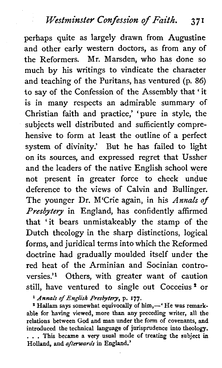perhaps quite as largely drawn from Augustine and other early western doctors, as from any of the Reformers. Mr. Marsden, who has done so much by his writings to vindicate the character and teaching of the Puritans, has ventured (p. 86) to say of the Confession of the Assembly that ' it is in many respects an admirable summary of Christian faith and practice,' 'pure in style, the subjects well distributed and sufficiently comprehensive to form at least the outline of a perfect system of divinity.' But he has failed to light on its sources, and expressed regret that Ussher and the leaders of the native English school were not present in greater force to check undue deference to the views of Calvin and Bullinger. The younger Dr. M'Crie again, in his *Annals* of *Presbytery* in England, has confidently affirmed that 'it bears unmistakeably the stamp of the Dutch theology in the sharp distinctions, logical forms, and juridical terms into which the Reformed doctrine had gradually moulded itself under the red heat of the Arminian and Socinian controversies.'l Others, with greater want of caution still, have ventured to single out Cocceius \* or

<sup>1</sup> Annals of English Presbytery, p. 177.<br><sup>2</sup> Hallam says somewhat equivocally of him,--' He was remark**able for having viewed, more than any preceding writer, all the relations between God and man under the form of covenants, and introduced the technical language of jurisprudence into theology.**  . . . **This became a very usual mode of treating the subject in Holland, and afterwards in England.'**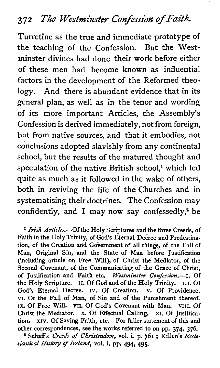Turretine as the true and immediate prototype of the teaching of the Confession. But the Westminster divines had done their work before either of these men had become known as influential factors in the development of the Reformed theology. And there is abundant evidence that in its general plan, as well as in the tenor and wording of its more important Articles, the Assembly's Confession is derived immediately, not from foreign, but from native sources, and that it embodies, not conclusions adopted slavishly from any continental school, but the results of the matured thought and speculation of the native British school,<sup>1</sup> which led quite as much as it followed in the wake of others, both in reviving the life of the Churches and in systematising their doctrines. The Confession may confidently, and I may now say confessedly,2 be

<sup>1</sup> Irish Articles.-Of the Holy Scriptures and the three Creeds, of Faith in the Holy Trinity, of God's Eternal Decree and Predestination, of the Creation and Government of all things, of the Fall of Man, Original Sin, and the State of Man before Justification (including article on Free Will), of Christ the Mediator, of the Second Covenant, of the Communicating of the Grace of Christ, of Justification and Faith etc. **Westminster Confession.-I.** Of the Holy Scripture. **11.** Of God and of the Holy Trinity. **111.** Of God's Eternal Decree. **IV.** Of Creation. **V.** Of Providence. **VI.** Of the Fall of Man, of Sin and of the Punishment thereof. **IX.** Of Free Will. **VII.** Of God's Covenant with Man. **VIII.** Of Christ the Mediator. **X.** Of Effectual Calling. XI. Of Justification. **xiv.** Of Saving Faith, etc. For fuller statement of this and other correspondences, see the works referred to on pp. 374, 376.

<sup>2</sup> Schaff's Creeds of Christendom, vol. i. p. 761 ; Killen's Eccle*siastical* History *flreland,* voL **i.** pp. 494, 495.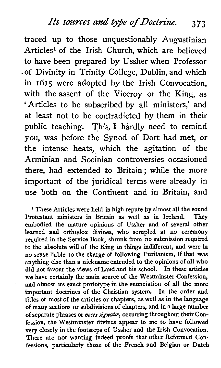traced up to those unquestionably Augustinian Articles1 of the Irish Church, which are believed to have been prepared by Ussher when Professor .of Divinity in Trinity College, Dublin, and which in 1615 were adopted by the Irish Convocation, with the assent of the Viceroy or the King, as 'Articles to be subscribed by all ministers,' and at least not to be contradicted by them in their public teaching. This, I hardly need to remind you, was before the Synod of Dort had met, or the intense heats, which the agitation of the Arminian and Socinian controversies occasioned there, had extended to Britain; while the more important of the juridical terms were already in use both on the Continent and in Britain, and

<sup>1</sup> These Articles were held in high repute by almost all the sound rotestant ministers in Britain as well as in Ireland. They Protestant ministers in Britain as well as in Ireland. embodied the mature opinions of Ussher and of several other learned and orthodox divines, who scrupled at no ceremony required in the Service Book, shrunk from no submission required to the absolute will of the King in things indifferent, and were in no sense liable to the charge of following Puritanism, if that was anything else than a nickname extended to the opinions of all who did not favour the views of Laud and his school. In these articles we have certainly the main source of the Westminster Confession, and almost its exact prototype in the enunciation of all the more important doctrines of the Christian system. In the order and titles of most of the articles or chapters, as well **as** in the language of many sections or subdivisions of chapters, and in a large number of separate phrases or **voces signate,** occurring throughout their Confession, the Westminster divines appear to me to have followed very closely in the footsteps of Ussher and the Irish Convocation. There are not wanting indeed proofs that other Reformed Confessions, particularly those of the French and Belgian or Dutch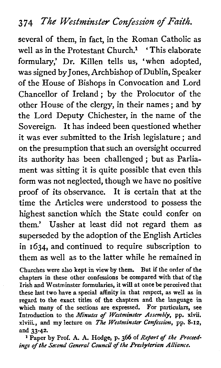several of them, in fact, in the Roman Catholic as well as in the Protestant Church.<sup>1</sup> 'This elaborate formulary,' Dr. Killen tells us, 'when adopted, was signed by Jones, Archbishop of Dublin, Speaker of the House of Bishops in Convocation and Lord Chancellor of Ireland ; by the Prolocutor of the other House of the clergy, in their names ; and by the Lord Deputy Chichester, in the name of the Sovereign. It has indeed been questioned whether it was ever submitted to the Irish legislature ; and on the presumption that such an oversight occurred its authority has been challenged ; but as Parliament was sitting it is quite possible that even this form was not neglected, though we have no positive proof of its observance. It is certain that at the time the Articles were understood to possess the highest sanction which the State could confer on them,' Ussher at least did not regard them as superseded by the adoption of the English Articles in 1634, and continued to require subscription to them as well as to the latter while he remained in

Churches were also kept in view by them. But if the order of the chapters in these other confessions be compared with that of the Irish and Westminster formularies, it will at once be perceived that these last two have a special affinity in that respect, as well as in regard to the exact titles of the chapters and the language in which many of the sections are expressed. For particulars, see Introduction to the *Minutes* of *Westminster Assembly,* pp. xlvii. xlviii., and my lecture on The *Westminster Confession,* pp. 8-12, and 33-42.

**l** Paper by Prof. A. A. Hodge, p. 366 of *Report of the Proceedings of the Second General Council of the Presbyterian Alliance.*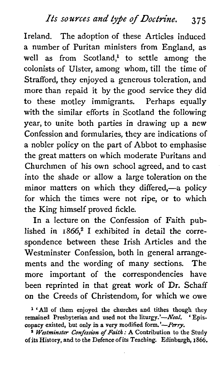Ireland. The adoption of these Articles induced a number of Puritan ministers from England, as well as from Scotland,<sup>1</sup> to settle among the colonists of Ulster, among whom, till the time of Strafford, they enjoyed a generous toleration, and more than repaid it by the good service they did to these motley immigrants. Perhaps equally with the similar efforts in Scotland the following year, to unite both parties in drawing up a new Confession and formularies, they are indications of a nobler policy on the part of Abbot to emphasise the great matters on which moderate Puritans and Churchmen of his own school agreed, and to cast into the shade or allow a large toleration on the minor matters on which they differed,-a policy for which the times were not ripe, or to which the King himself proved fickle.

In a lecture on the Confession of Faith published in  $1866$ ,<sup>2</sup> I exhibited in detail the correspondence between these Irish Articles and the Westminster Confession, both in general arrangements and the wording of many sections. The more important of the correspondencies have been reprinted in that great work of Dr. Schaff on the Creeds of Christendom, for which we owe

**'All of them enjoyed the churches and tithes though they**  remained Presbyterian and used not the liturgy.'-Neal. "Episcopacy existed, but only in a very modified form.'-Perry.

**<sup>9</sup>Westminster Confession of Faith** : **A Contribution to the Study of its History, and to the Defence of its Teaching. Edinburgh, 1866.**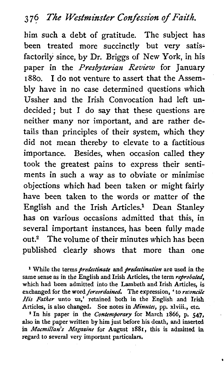him such a debt of gratitude. The subject has been treated more succinctly but very satisfactorily since, by Dr. Briggs of New York, in his paper in the *Presbyterian* **Review** for January 1880. I do not venture to assert that the Assembly have in no case determined questions which Ussher and the Irish Convocation had left undecided ; but I do say that these questions are neither many nor important, and are rather details than principles of their system, which they did not mean thereby to elevate to a factitious importance. Besides, when occasion called they took the greatest pains to express their sentiments in such a way as to obviate or minimise objections which had been taken or might fairly have been taken to the words or matter of the English and the Irish Articles? Dean Stanley has on various occasions admitted that this, in several important instances, has been fully made out.2 The volume of their minutes which has been published clearly shows that more than one

<sup>1</sup> While the terms *predestinate* and *predestination* are used in the same sense as in the English and Irish Articles, the term reprobated, which had been admitted into the Lambeth and Irish Articles, is exchanged for the word *foreordained*. The expression, ' to *reconcile* His Father unto us,' retained both in the English and Irish Articles, is also changed. See notes in *Minutes*, pp. xlviii., etc. <sup>2</sup> In his paper in the *Contemporary* for March 1866, p. 547,

also in the paper written by him just before his death, **and** inserted in Macmillan's Magazine for August 1881, this is admitted in regard to several very important particulars.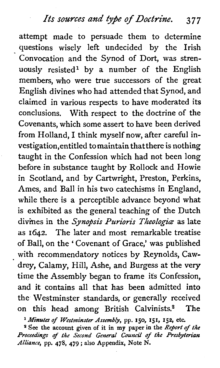# **Its** *sources and type of Doctrine.* **3 7 <sup>7</sup>**

attempt made to persuade them to determine questions wisely left undecided by the Irish Convocation and the Synod of Dort, was strenuously resisted<sup>1</sup> by a number of the English members, who were true successors of the great English divines who had attended that Synod, and claimed in various respects to have moderated its conclusions. With respect to the doctrine of the Covenants, which some assert to have been derived from Holland, I think myself now, after careful investigation,entitled tomaintain thatthere is nothing taught in the Confession which had not been long before in substance taught by Rollock and Howie in Scotland, and by Cartwright, Preston, Perkins, Ames, and Ball in his two catechisms in England, while there is a perceptible advance beyond what is exhibited as the general teaching of the Dutch divines in the *Synopsis Purioris Theologiæ* as late as 1642. The later and most remarkable treatise of Ball, on the ' Covenant of Grace,' was published with recommendatory notices by Reynolds, Cawdrey, Calamy, Hill, Ashe, and Burgess at the very time the Assembly began to frame its Confession, and it contains all that has been admitted into the Westminster standards, or generally received on this head among British Calvinists.<sup>2</sup> The

**Minutes** of Westminster Assembly, pp. **150, 151, 152,** etc.

<sup>2</sup> See the account given of it in my paper in the Report of the Proceedings of *the* Second General *Council* of *the* Presbyterian Alliance, pp. **478, 479** ; also Appendix, Note N.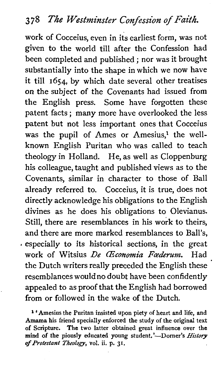work of Cocceius, even in its earliest form, was not given to the world till after the Confession had been completed and published ; nor was it brought substantially into the shape in which we now have it till 1654, by which date several other treatises on the subject of the Covenants had issued from the English press. Some have forgotten these patent facts ; many more have overlooked the less patent but not less important ones that Cocceius was the pupil of Ames or Amesius,<sup>1</sup> the wellknown English Puritan who was called to teach theology in Holland. He, as well as Cloppenburg his colleague, taught and published views as to the Covenants, similar in character to those of Ball already referred to. Cocceius, it is true, does not directly acknowledge his obligations to the English divines as he does his obligations to Olevianus. Still, there are resemblances in his work to theirs, and there are more marked resemblances to Ball's, - especially to its historical sections, in the great work of Witsius *Be CEconomia Fcederum.* Had the Dutch writers really preceded the English these resemblances wouldno doubt have been confidently appealed to as proof that the English had borrowed from or followed in the wake of the Dutch.

<sup>1</sup> 'Amesius the Puritan insisted upon piety of heart and life, and **Amarna his friend specially enforced the study of the original text of Scripture. The two latter obtained great influence over the mind of the piously educated young student.'-Domer's** *History of Protestant Theology,* **vol. ii. p. 31.**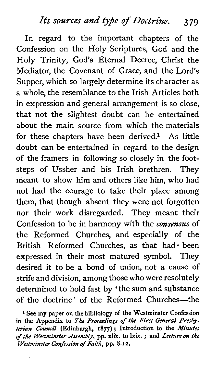# *Its sources* **and** *type of* **Doctrine. 3 79**

In regard to the important chapters of the Confession on the Holy Scriptures, God and the Holy Trinity, God's Eternal Decree, Christ the Mediator, the Covenant of Grace, and the Lord's Supper, which so largely determine its character as a whole, the resemblance to the Irish Articles both in expression and general arrangement is so close, that not the slightest doubt can be entertained about the main source from which the materials for these chapters have been derived.<sup>1</sup> As little doubt can be entertained in regard to the design of the framers in following so closely in the footsteps of Ussher and his Irish brethren. They meant to show him and others like him, who had not had the courage to take their place among them, that though absent they were not forgotten nor their work disregarded. They meant their Confession to be in harmony with the *consensus* of the Reformed Churches, and especially of the British Reformed Churches, as that had · been expressed in their most matured symbol. They desired it to be a bond of union, not a cause of strife and division, among those who were resolutely determined to hold fast by 'the sum and substance of the doctrine' of the Reformed Churches-the

**1 See my paper on the bibliology of the Westminster Confession in the Appendix to The** *Proceedings of the First General Presbyfenan* **Council (Edinburgh, 1877)** ; **Introduction to the** *Minutes of the Westminster Assembly,* **pp. xlix. to lxix.** ; **and** *Lecture on the Wesfnzinsfer Confession of Faith,* **pp.** *8-* **I 2.**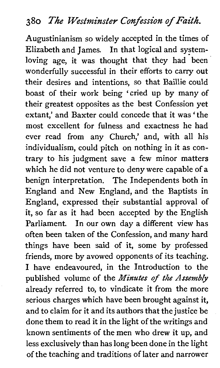Augustinianism so widely accepted in the times of Elizabeth and James. In that logical and systemloving age, it was thought that they had been wonderfully successful in their efforts to carry out their desires and intentions, so that Baillie could boast of their work being 'cried up by many of their greatest opposites as the best Confession yet extant,' and Baxter could concede that it was 'the most excellent for fulness and exactness he had ever read from any Church,' and, with all his individualism, could pitch on nothing in it as contrary to his judgment save a few minor matters which he did not venture to deny were capable of a benign interpretation. The Independents both in England and New England, and the Baptists in England, expressed their substantial approval of it, so far as it had been accepted by the English Parliament. In our own day a different view has often been taken of the Confession, and many hard things have been said of it, some by professed friends, more by avowed opponents of its teaching. I have endeavoured, in the Introduction to the published volume of the **Minutes** of the *Assembly*  already referred to, to vindicate it from the more serious charges which have been brought against it, and to claim for it and its authors that the justice be done them to read it in the light of the writings and known sentiments of the men who drew it up, and less exclusively than has long been done in the light of the teaching and traditions of later and narrower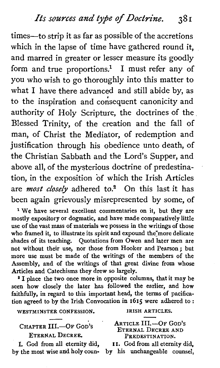times-to strip it as far as possible of the accretions which in the lapse of time have gathered round it, and marred in greater or lesser measure its goodly form and true proportions.<sup>1</sup> I must refer any of you who wish to go thoroughly into this matter to what I have there advanced and still abide by, as to the inspiration and consequent canonicity and authority of Holy Scripture, the doctrines of the Blessed Trinity, of the creation and the fall of man, of Christ the Mediator, of redemption and justification through his obedience unto death, of the Christian Sabbath and the Lord's Supper, and above all, of the mysterious doctrine of predestination, in the exposition of which the Irish Articles are *most closely* adhered to.<sup>2</sup> On this last it has been again grievously misrepresented by some, of

<sup>1</sup> We have several excellent commentaries on it, but they are mostly expository or dogmatic, and have made comparatively little use of the vast mass of materials we possess in the writings of those who framed it, to illustrate its spirit and expound the more delicate shades of its teaching. Quotations from Owen and later men are not without their use, nor those from Hooker and Pearson; but more use must be made of the writings of the members of the Assembly, and of the writings of that great divine from whose Articles and Catechisms they drew so largely.

\* I place the two once more in opposite columns, that it may be seen how closely the later has followed the earlier, and how faithfully, in regard to this important head, the terms of pacification agreed to by the Irish Convocation in 1615 were adhered to :

**WESTMINSTER CONFESSION. IRISH ARTICLES.** 

**ARTICLE III.-OF GOD'S** 

ETERNAL DECREE AND

CHAPTER III.-OF GOD'S

**ETERNAL DECREE.** 

I. God from all eternity did, **11.** God from all eternity did, by the most wise and holy coun-

PREDESTINATION.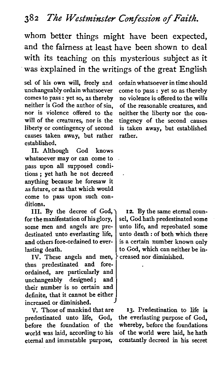whom better things might have been expected, and the fairness at least have been shown to deal with its teaching on this mysterious subject as it was explained in the writings of the great English

sel of his own will, freely and unchangeably ordain whatsoever comes to pass : yet so, as thereby neither is God the author of sin, nor is violence offered to the will of the creatures, nor is the liberty or contingency of second causes taken away, but rather established.

**11.** Although God knows whatsoever may or can come to pass upon all supposed conditions ; yet hath he not decreed anything because he foresaw it as future, or as that which would come to pass upon such conditions.

**111.** By the decree of God, for the manifestation of his glory, some men and angels are predestinated unto everlasting life, and others fore-ordained to everlasting death.

IV. These angels and men,<br>us predestinated and forethus predestinated and ordained, are particularly and unchangeably designed; and their number is so certain and definite, that it cannot be either increased or diminished.

V. Those of mankind that are predestinated unto life, God, before the foundation of the world was laid, according to his eternal and immutable purpose,

ordainwhatsoever in time should come to pass : yet so as thereby no violence is offered to the wills of the reasonable creatures, and neither the liberty nor the contingency of the second causes is taken away, but established rather.

**12.** By the same eternal counsel, God hath predestinated some unto life, and reprobated some unto death : of both which there is a certain number known only to God, which can neither be increased nor diminished.

13. Predestination to life is the everlasting purpose of God, whereby, before the foundations of the world were laid, he hath constantly decreed in his secret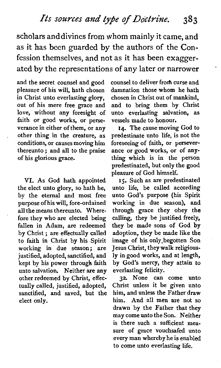scholars anddivines from whom mainly it came, and as it has been guarded by the authors of the Confession themselves, and not as it has been exaggerated by the representations of any later or narrower

and the secret counsel and good pleasure of his will, hath chosen in Christ unto everlasting glory, out of his mere free grace and love, without any foresight of faith or good works, or perseverance in either of them, or any other thing in the creature, as conditions, or causes moving him thereunto ; and all to the praise of his glorious grace.

VI. **As** God hath appointed the elect unto glory, so hath he, by the eternal and most free purpose of his will, fore-ordained all the means thereunto. Wherefore they who are elected being fallen in Adam, are redeemed by Christ ; are effectually called to faith in Christ by his Spirit working in due season; are justified, adopted, sanctified, and kept by his power through faith unto salvation. Neither are any other redeemed by Christ, effectually called, justified, adopted, sanctified, and saved, but the elect only.

counsel to deliver from curse and damnation those whom he hath chosen in Christ out of mankind, and to bring them by Christ unto everlasting salvation, as vessels made to honour.

**14.** The cause moving God to predestinate unto life, is not the foreseeing of faith, or perseverance or good works, or of anything which is in the person predestinated, but only the good pleasure of God himself.

IS. Such as are predestinated unto life, be called according unto God's purpose (his Spirit working in due season), and through grace they obey the calling, they be justified freely, they be made sons of God by adoption, they be made like the image of his only'begotten Son Jesus Christ, they walk religiously in good works, and at length, by God's mercy, they attain to everlasting felicity.

32. None can come unto Christ unless it be given unto him, and unless the Father draw him. And all men are not so drawn by the Father that they may come unto the Son. Neither is there such a sufficient measure of grace vouchsafed unto every man whereby he is enabled to come unto everlasting life.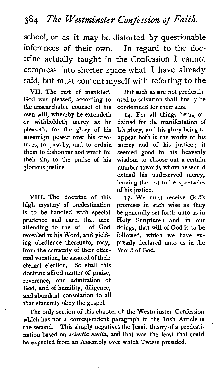school, or as it may be distorted by questionable inferences of their own. In regard to the doctrine actually taught in the Confession I cannot compress into shorter space what I have already said, but must content myself with referring to the

VII. The rest of mankind, But such as are not predestin-<br>God was pleased, according to ated to salvation shall finally be the unsearchable counsel of his condemned for their sins.<br>own will, whereby he extendeth  $14$ . For all things being orown will, whereby he extendeth **14.** For all things being oror withholdeth mercy as he dained for the manifestation of pleaseth, for the glory of his his glory, and his glory being to pleaseth, for the glory of his sovereign power over his creasovereign power over his crea- appear both in the works of his tures, to pass by, and to ordain mercy and of his justice; it tures, to pass by, and to ordain mercy and of his justice; it them to dishonour and wrath for seemed good to his heavenly them to dishonour and wrath for seemed good to his heavenly their sin, to the praise of his wisdom to choose out a certain their sin, to the praise of his wisdom to choose out a certain glorious justice.

VIII. The doctrine of this 17. We must receive God's high mystery of predestination promises in such wise as they high mystery of predestination promises in such wise as they is to be handled with special be generally set forth unto us in is to be handled with special be generally set forth unto us in prudence and care, that men Holy Scripture: and in our prudence and care, that men Holy Scripture; and in our attending to the will of **God** doings, that will of God is to be revealed in his Word, and yield- followed, which we have ex-<br>ing obedience thereunto, may, pressly declared unto us in the from the certainty of their effectual vocation, be assured of their eternal election. So shall this doctrine afford matter of praise, reverence, and admiration of God, and of humility, diligence, and abundant consolation to all that sincerely obey the gospel.

ated to salvation shall finally be<br>condemned for their sins.

number towards whom he would extend his undeserved mercy, leaving the rest to be spectacles of his justice.

pressly declared unto us in the<br>Word of God.

The only section of this chapter of the Westminster Confession which has not a correspondent paragraph in the Irish Article is the second. This simply negatives the Jesuit theory of a predestination based on *scientia* media, and that was the least that could be expected from an Assembly over which Twisse presided.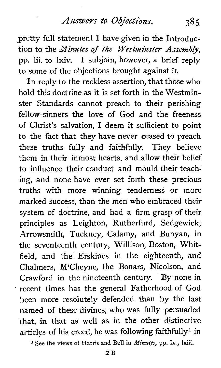### *Answers to Objections.* **385,**

pretty full statement I have given in the Introduction to the *Minutes* of *the Westminster Assembly,*  pp. lii. to lxiv. I subjoin, however, a brief reply to some of the objections brought against it.

In reply to the reckless assertion, that those who hold this doctrine as it is set forth in the Westminster Standards cannot preach to their perishing fellow-sinners the love of God and the freeness of Christ's salvation, I deem it sufficient to point to the fact that they have never ceased to preach these truths fully and faithfully. They believe them in their inmost hearts, and allow their belief to influence their conduct and mould their teaching, and none have ever set forth these precious truths with more winning tenderness or more marked success, than the men who embraced their system of doctrine, and had a firm grasp of their principles as Leighton, Rutherfurd, Sedgewick, Arrowsmith, Tuckney, Calamy, and Bunyan, in the seventeenth century, Willison, Boston, Whitfield, and the Erskines in the eighteenth, and Chalmers, M'Cheyne, the Bonars, Nicolson, and Crawford in the nineteenth century. By none in recent times has the general Fatherhood of God been more resolutely defended than by the last named of these divines, who was fully persuaded that, in that as well as in the other distinctive articles of his creed, he was following faithfully<sup>1</sup> in

**<sup>1</sup>**See the **views of Harris and Ball in Minutes, pp. lx., lxiii.**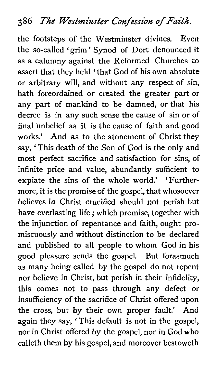# **386 The Westminster Confession of Faith.**

the footsteps of the Westminster divines. Even the so-called 'grim' Synod of Dort denounced it as a calumny against the Reformed Churches to assert that they held 'that God of his own absolute or arbitrary will, and without any respect of sin, hath foreordained or created the greater part or any part of mankind to be damned, or that his decree is in any such sense the cause of sin or of final unbelief as it is the cause of faith and good works.' And as to the atonement of Christ they say, 'This death of the Son of God is the only and most perfect sacrifice and satisfaction for sins, of infinite price and value, abundantly sufficient to expiate the sins of the whole world.' 'Furthermore, it is the promise of the gospel, that whosoever believes in Christ crucified should not perish but have everlasting life ; which promise, together with the injunction of repentance and faith, ought promiscuously and without distinction to be declared and published to all people to whom God in his good pleasure sends the gospel. But forasmuch as many being called by the gospel do not repent nor believe in Christ, but perish in their infidelity, this comes not to pass through any defect or insufficiency of the sacrifice of Christ offered upon the cross, but by their own proper fault.' And again they say, ' This default is not in the gospel, nor in Christ offered by the gospel, nor in God who calleth them by his gospel, and moreover bestoweth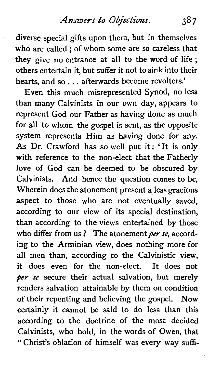# *Answers to Objections.* **387**

diverse special gifts upon them, but in themselves who are called ; of whom some are so careless that they give no entrance at all to the word of life ; others entertain it, but suffer it not to sink into their hearts, and so. . . afterwards become revolters.'

Even this much misrepresented Synod, no less than many Calvinists in our own day, appears to represent God our Father as having done as much for all to whom the gospel is sent, as the opposite system represents Him as having done for any. As Dr. Crawford has so well put it: 'It is only with reference to the non-elect that the Fatherly love of God can be deemed to be obscured by Calvinists. And hence the question comes to be, Wherein does the atonement present a less gracious aspect to those who are not eventually saved, according to our view of its special destination, than according to the views entertained by those who differ from us? The atonement per se, according to the Arminian view, does nothing more for all men than, according to the Calvinistic view, it does even for the non-elect. It does not per se secure their actual salvation, but merely renders salvation attainable by them on condition of their repenting and believing the gospel. Now certainly it cannot be said to do less than this according to the doctrine of the most decided Calvinists, who hold, in the words of Owen, that ' Christ's oblation of himself was every way suffi-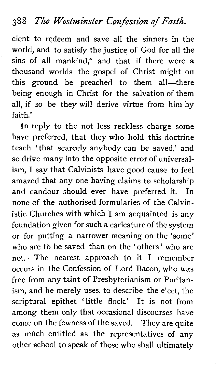## **388 The Westminster Confession of Faith.**

cient to redeem and save all the sinners in the world, and to satisfy the justice of God for all the sins of all mankind," and that if there were a thousand worlds the gospel of Christ might on this ground be preached to them all-there being enough in Christ for the salvation of them all, if so be they will derive virtue from him by faith.'

In reply to the not less reckless charge some have preferred, that they who hold this doctrine teach ' that scarcely anybody can be saved,' and so drive many into the opposite error of universalism, I say that Calvinists have good cause to feel amazed that any one having claims to scholarship and candour should ever have preferred it. In none of the authorised formularies of the Calvinistic Churches with which I am acquainted is any foundation given for such a caricature of the system or for putting a narrower meaning on the 'some' who are to be saved than on the 'others' who are not. The nearest approach to it I remember occurs in the Confession of Lord Bacon, who was free from any taint of Presbyterianism or Puritanism, and he merely uses, to describe the elect, the scriptural epithet 'little flock.' It is not from among them only that occasional discourses have come on the fewness of the saved. They are quite as much entitled as the representatives of any other school to speak of those who shall ultimately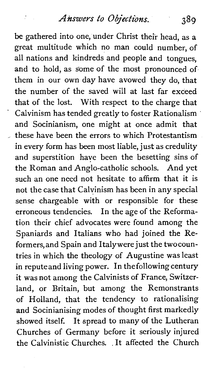## *Answers to Objections.* **389**

be gathered into one, under Christ their head, as a great multitude which no man could number, of all nations and kindreds and people and tongues, and to hold, as some of the most pronounced of them in our own day have avowed they do, that the number of the saved will at last far exceed that of the lost. With respect to the charge that Calvinism has tended greatly to foster Rationalism and Socinianism, one might at once admit that these have been the errors to which Protestantism in every form has been most liable, just as credulity and superstition have been the besetting sins of the Roman and Anglo-catholic schools. And yet such an one need not hesitate to affirm that it is not the case that Calvinism has been in any special sense chargeable with or responsible for these erroneous tendencies. In the age of the Reformation their chief advocates were found among the Spaniards and Italians who had joined the Reformers,and Spain and Italywere just the twocountries in which the theology of Augustine was least in reputeand living power. In the following century it was not among the Calvinists of France, Switzerland, or Britain, but among the Remonstrants of Holland, that the tendency to rationalising and Socinianising modes of thought first markedly showed itself. It spread to many of the Lutheran Churches of Germany before it seriously injured the Calvinistic Churches. . It affected the Church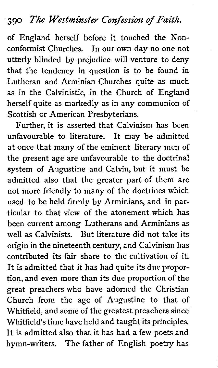# **<sup>390</sup>The Westminster Confession of Faith.**

of England herself before it touched the Nonconformist Churches. In our own day no one not utterly blinded by prejudice will venture to deny that the tendency in question is to be found in Lutheran and Arminian Churches quite as much as in the Calvinistic, in the Church of England herself quite as markedly as in any communion of Scottish or American Presbyterians.

Further, it is asserted that Calvinism has been unfavourable to literature. It may be admitted at once that many of the eminent literary men of the present age are unfavourable to the doctrinal system of Augustine and Calvin, but it must be admitted also that the greater part of them are not more friendly to many of the doctrines which used to be held firmly by Arminians, and in particular to that view of the atonement which has been current among Lutherans and Arminians as well as Calvinists. But literature did not take its origin in the nineteenth century, and Calvinism has contributed its fair share to the cultivation of it. It is admitted that it has had quite its due proportion, and even more than its due proportion of the great preachers who have adorned the Christian Church from the age of Augustine to that of Whitfield, and some of the greatest preachers since Whitfield's time have held and taught its principles. It is admitted also that it has had a few poets and hymn-writers. The father of English poetry has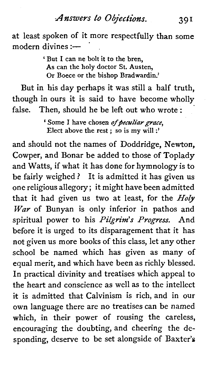*Answers to Objections.* 391

at least spoken of it more respectfully than some modern divines :-

> ' **But I can ne bolt it to the bren, As can the holy doctor St. Austen, Or Boece or the bishop Bradwardin.'**

But in his day perhaps it was still a half truth, though in ours it is said to have become wholly false. Then, should he be left out who wrote :

> ' Some I have chosen of peculiar grace, **Elect above the rest** ; **so is my will** :'

and should not the names of Doddridge, Newton, Cowper, and Bonar be added to those of Toplady and Watts, if what it has done for hymnology is to be fairly weighed ? It is admitted it has given us one religious allegory; it might have been admitted that it had given us two at least, for the  $Holy$ *War* of Bunyan is only inferior in pathos and spiritual power to his Pilgrim's Progress. And before it is urged to its disparagement that it has not given us more books of this class, let any other school be named which has given as many of equal merit, and which have been as richly blessed. In practical divinity and treatises which appeal to the heart and conscience as well as to the intellect it is admitted that Calvinism is rich, and in our own language there are no treatises can be named which, in their power of rousing the careless, encouraging the doubting, and cheering the desponding, deserve to be set alongside of Baxter's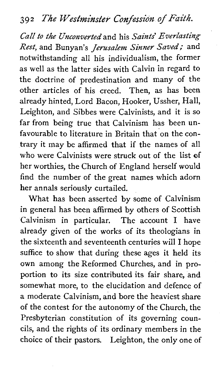*Call to the Unconverted'* and his *Saints' Everlasting*  Rest, and Bunyan's *Jerusalem Sinner Saved*; and notwithstanding all his individualism, the former as well as the latter sides with Calvin in regard to the doctrine of predestination and many of the other articles of his creed. Then, as has been already hinted, Lord Bacon, Hooker, Ussher, Hall, Leighton, and Sibbes were Calvinists, and it is so far from being true that Calvinism has been unfavourable to literature in Britain that on the contrary it may be affirmed that if the names of all who were Calvinists were struck out of the list of her worthies, the Church of England herself would find the number of the great names which adorn her annals seriously curtailed.

What has been asserted by some of Calvinism in general has been affirmed by others of Scottish Calvinism in particular. The account I have already given of the works of its theologians in the sixteenth and seventeenth centuries will I hope suffice to show that during these ages it held its own among the Reformed Churches, and in proportion to its size contributed its fair share, and somewhat more, to the elucidation and defence of a moderate Calvinism, and bore the heaviest share of the contest for the autonomy of the Church, the Presbyterian constitution of its governing councils, and the rights of its ordinary members in the choice of their pastors. Leighton, the only one of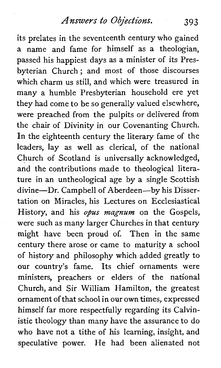#### *Answers* to *Objections.*  393

its prelates in the seventeenth century who gained a name and fame for himself as a theologian, passed his happiest days as a minister of its Presbyterian Church ; and most of those discourses which charm us still, and which were treasured in many a humble Presbyterian household ere yet they had come to be so generally valued elsewhere, were preached from the pulpits or delivered from the chair of Divinity in our Covenanting Church. In the eighteenth century the literary fame of the leaders, lay as well as clerical, of the national Church of Scotland is universally acknowledged, and the contributions made to theological literature in an untheological age by a single Scottish divine-Dr. Campbell of Aberdeen-by his Dissertation on Miracles, his Lectures on Ecclesiastical History, and his *opus magnum* on the Gospels, were such as many larger Churches in that century might have been proud of. Then in the same century there arose or came to maturity a school of history and philosophy which added greatly to our country's fame. Its chief ornaments were ministers, preachers or elders of the national Church, and Sir William Hamilton, the greatest ornament of that school in our own times, expressed himself far more respectfully regarding its Calvinistic theology than many have the assurance to do who have not a tithe of his learning, insight, and speculative power. He had been alienated not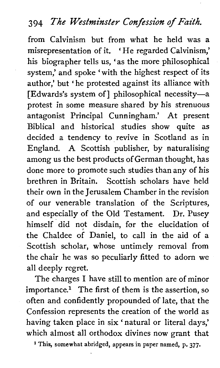# **3 94 The Westminster Confession of Faith.**

from Calvinism but from what he held was a misrepresentation of it. 'He regarded Calvinism,' his biographer tells us, 'as the more philosophical system,' and spoke 'with the highest respect of its author,' but 'he protested against its alliance with [Edwards's system of] philosophical necessity-a protest in some measure shared by his strenuous antagonist Principal Cunningham.' At present Biblical and historical studies show quite as decided a tendency to revive in Scotland as in England. A Scottish publisher, by naturalising among us the best products of German thought, has done more to promote such studies than any of his brethren in Britain. Scottish scholars have held their own in the Jerusalem Chamber in the revision of our venerable translation of the Scriptures, and especially of the Old Testament. Dr. Pusey himself did not disdain, for the elucidation of the Chaldee of Daniel, to call in the aid of a Scottish scholar, whose untimely removal from the chair he was so peculiarly fitted to adorn we all deeply regret.

The charges I have still to mention are of minor  $im$ portance.<sup>1</sup> The first of them is the assertion, so often and confidently propounded of late, that the Confession represents the creation of the world as having taken place in six ' natural or literal days,' which almost all orthodox divines now grant that

<sup>1</sup> This, somewhat abridged, appears in paper named, p. 377.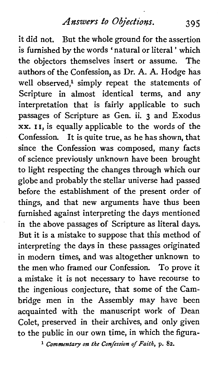*Answers* **to** *Objections.* 395

it did not. But the whole ground for the assertion is furnished by the words ' natural or literal ' which the objectors themselves insert or assume. The authors of the Confession, as Dr. A. **A.** Hodge has well observed.<sup>1</sup> simply repeat the statements of Scripture in almost identical terms, and any interpretation that is fairly applicable to such passages of Scripture as Gen. ii. **3** and Exodus xx. 11, is equally applicable to the words of the Confession. It is quite true, as he has shown, that since the Confession was composed, many facts of science previously unknown have been brought to light respecting the changes through which our globe and probably the stellar universe had passed before the establishment of the present order of things, and that new arguments have thus been furnished against interpreting the days mentioned in the above passages of Scripture as literal days. But it is a mistake to suppose that this method of interpreting the days in these passages originated in modern times, and was altogether unknown to the men who framed our Confession. To prove it a mistake it is not necessary to have recourse to the ingenious conjecture, that some of the Cambridge men in the Assembly may have been acquainted with the manuscript work of Dean Colet, preserved in their archives, and only given to the public in our own time, in which the figura-

**1 Commentary on the Confession of Faith, p. 82.**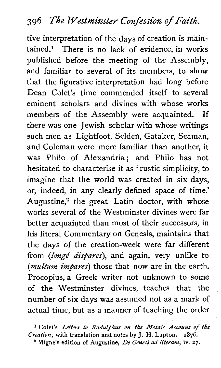tive interpretation of the days of creation is main $tained$ .<sup>1</sup> There is no lack of evidence, in works published before the meeting of the Assembly, and familiar to several of its members, to show that the figurative interpretation had long before Dean Colet's time commended itself to several eminent scholars and divines with whose works members of the Assembly were acquainted. If there was one Jewish scholar with whose writings such men as Lightfoot, Selden, Gataker, Seaman, and Coleman were more familiar than another, it was Philo of Alexandria; and Philo has not hesitated to characterise it as 'rustic simplicity, to imagine that the world was created in six days, or, indeed, in any clearly defined space of time.' Augustine,<sup>2</sup> the great Latin doctor, with whose works several of the Westminster divines were far better acquainted than most of their successors, in his literal Commentary on Genesis, maintains that the days of the creation-week were far different from (longé dispares), and again, very unlike to (multum impares) those that now are in the earth. Procopius, a Greek writer not unknown to some of the Westminster divines, teaches that the number of six days was assumed not as a mark of actual time, but as a manner of teaching the order

Colet's *Letters* to *Radulphus* **on** *the Mosaic Account* **of** *the Creation,* with translation and notes by J. H. Lupton. **1876.** 

<sup>2</sup> Migne's edition of Augustine, *De Genesi ad literam*, *iv.* 27.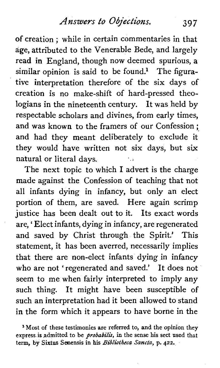of creation ; while in certain commentaries in that age, attributed to the Venerable Bede, and largely read in England, though now deemed spurious, a similar opinion is said to be found.<sup>1</sup> The figurative interpretation therefore of the six days of creation is no make-shift of hard-pressed theologians in the nineteenth century. It was held by respectable scholars and divines, from early times, and was known to the framers of our Confession ; and had they meant deliberately to exclude it they would have written not six days, but six natural or literal days.

The next topic to which I advert is the charge made against the Confession of teaching that not all infants dying in infancy, but only an elect portion of them, are saved. Here again scrimp justice has been dealt out to it. Its exact words are, ' Elect infants, dying in infancy, are regenerated and saved by Christ through the Spirit.' This statement, it has been averred, necessarily implies that there are non-elect infants dying in infancy who are not 'regenerated and saved.' It does not seem to me when fairly interpreted to imply any such thing. It might have been susceptible of such an interpretation had it been allowed to stand in the form which it appears to have borne in the

**1 Most of these testimonies are referred to, and the opinion they express is admitted to be** *probabilis,* **in the sense his sect used that term, by Sixtus Seaensis in his** *Biblicithtca Sancta,* **p.** *422.*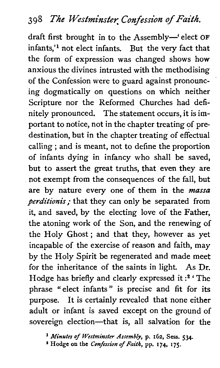draft first brought in to the Assembly-' elect **OF**  infants,'l not elect infants. But the very fact that the form of expression was changed shows how anxious the divines intrusted with the methodising of the Confession were to guard against pronouncing dogmatically on questions on which neither Scripture nor the Reformed Churches had definitely pronounced. The statement occurs, it is important to notice, not in the chapter treating of predestination, but in the chapter treating of effectual calling ; and is meant, not to define the proportion of infants dying in infancy who shall be saved, but to assert the great truths, that even they are not exempt from the consequences of the fall, but are by nature every one of them in the **massa**  *perditionis;* that they can only be separated from it, and saved, by the electing love of the Father, the atoning work of the Son, and the renewing of the Holy Ghost; and that they, however as yet incapable of the exercise of reason and faith, may by the Holy Spirit be regenerated and made meet for the inheritance of the saints in light. **As** Dr. Hodge has briefly and clearly expressed it **:2** ' The phrase "elect infants" is precise and fit for its purpose. It is certainly revealed that none either adult or infant is saved except on the ground of sovereign election-that is, all salvation for the

\* *Minutes of Westminster Assembly,* **p.** *162,* **Sess. 534.** 

**Hodge on the** *Confession* **of** *Faith,* **pp. 174, 175.**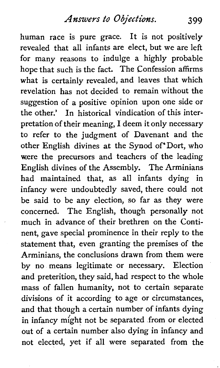human race is pure grace. It is not positively revealed that all infants are elect, but we are left for many reasons to indulge a highly probable hope that such is the fact. The Confession affirms what is certainly revealed, and leaves that which revelation has not decided to remain without the suggestion of a positive opinion upon one side or the other.' In historical vindication of this interpretation of their meaning, I deem it only necessary to refer to the judgment of Davenant and the other English divines at the Synod of Dort, who were **the** precursors and teachers of the leading English divines of the Assembly. The Arminians had maintained that, as all infants dying in infancy were undoubtedly saved, there could not be said to be any election, so far as they were concerned. The English, though personally not much in advance of their brethren on the Continent, gave special prominence in their reply to the statement that, even granting the premises of the Arminians, the conclusions drawn from them were by no means legitimate or necessary. Election and preterition, they said, had respect to the whole mass of fallen humanity, not to certain separate divisions of it according to age or circumstances, and that though a certain number of infants dying in infancy might not be separated from or elected out of a certain number also dying in infancy and not elected, yet if all were separated from the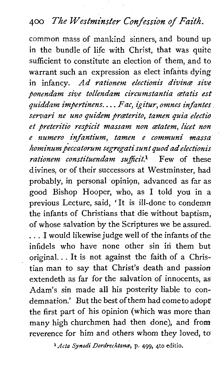# **400** *The Westminster Confession of Faith.*

common mass of mankind sinners, and bound up in the bundle of life with Christ, that was quite sufficient to constitute an election of them, and to warrant such an expression as elect infants dying in infancy. *Ad rationem electionis divine sive ponendam sive tollendam circumstantia cetatis est quiddam impertinens.* . . . *Fac, kitur, omnes infantes servari ne uno quidem praterito, tamen pia electio et peteritio respicit* wiassam *non atatem, licet non*   $e$  numero infantium, tamen e communi massa *hominum&ccato~um segregatisunt* **quod** *adelectionis rationem constituendam sufficit?* Few of these divines, or of their successors at Westminster, had probably, in personal opiniqn, advanced as far as good Bishop Hooper, who, as I told you in a previous Lecture, said, ' It is ill-done to condemn the infants of Christians that die without baptism, of whose salvation by the Scriptures we be assured. . . . I would likewise judge well of the infants of the infidels who have none other sin in them but original. . . It is not against the faith of a Christian man to say that Christ's death and passion extendeth as far for the salvation of innocents, as Adam's sin made all his posterity liable to condemnation.' But the best of them had come to adopt the first part of his opinion (which was more than many high churchmen had then done), and from reverence for him and others whom they loved, to

**1** Ada *Synodi Dordrecktancs,* p. 499, 4to editio.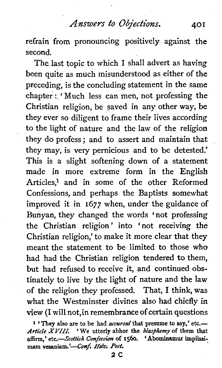*Answers to Objections.* **401** 

refrain from pronouncing positively against the second.

The last topic to which I shall advert as having been quite as much misunderstood as either of the preceding, is the concluding statement in the same chapter : 'Much less can men, not professing the Christian religion, be saved in any other way, be they ever so diligent to frame their lives according to the light of nature and the law of the religion they do profess ; and to assert and maintain that they may, is very pernicious and to be detested.' This is a slight softening down of a statement made in more extreme form in the English Articles,<sup>1</sup> and in some of the other Reformed Confessions, and perhaps the Baptists somewhat improved it in 1677 when, under the guidance of Bunyan, they changed the words 'not professing the Christian religion' into 'not receiving the Christian religion,' to make it more clear that they meant the statement to be limited to those who had had the Christian religion tendered to them, but had refused to receive it, and continued obstinately to live by the light of nature and the law of the religion they professed. That, I think, was what the Westminster divines also had chiefly in view (I will not,in remembrance of certain questions

**<sup>1</sup> 'They also are to be had** accursed **that presume to say,' etc.-**  *Article XVIII.* **'We utterly abhor the** *blasphemy* **of them that**  affirm,' etc.-Scottish Confession of 1560. 'Abominamur impiissimam vesaniam.'-Conf. Helv. Post.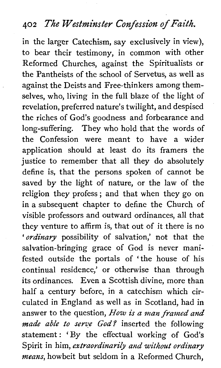## **<sup>402</sup>The Westminster Confession of Faith.**

in the larger Catechism, say exclusively in view), to bear their testimony, in common with other Reformed Churches, against the Spiritualists or the Pantheists of the school of Servetus, as well as against the Deists and Free-thinkers among themselves, who, living in the full blaze of the light of revelation, preferred nature's twilight, and despised the riches of God's goodness and forbearance and long-suffering. They who hold that the words of the Confession were meant to have a wider application should at least do its framers the justice to remember that all they do absolutely define is, that the persons spoken of cannot be saved by the light of nature, or the law of the religion they profess ; and that when they go on in a subsequent chapter to define the Church of visible professors and outward ordinances, all that they venture to affirm is, that out of it there is no *'ordinary* possibility of salvation,' not that the salvation-bringing grace of God is never manifested outside the portals of 'the house of his continual residence,' or otherwise than through its ordinances. Even a Scottish divine, more than half a century before, in a catechism which circulated in England as well as in Scotland, had in answer to the question, *How is a man framed and made able to serve God?* inserted the following statement: 'By the effectual working of God's Spirit in him, *extraordinarily and without ordinary means,* howbeit but seldom in a Reformed Church,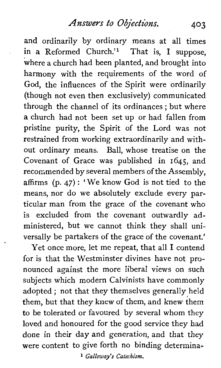*Answers to Objections. 403* 

and ordinarily by ordinary means at all times in a Reformed Church.'l That is, I suppose, where a church had been planted, and brought into harmony with the requirements of the word of God, the influences of the Spirit were ordinarily (though not even then exclusively) communicated through the channel of its ordinances ; but where a church had not been set up or had fallen from pristine purity, the Spirit of the Lord was not restrained from working extraordinarily and without ordinary means. Ball, whose treatise on the Covenant of Grace was published in 1645, and recommended by several members of the Assembly, affirms (p. 47) : 'We know God is not tied to the means, nor do we absolutely exclude every particular man from the grace of the covenant who is excluded from the covenant outwardly administered, but we cannot think they shall universally be partakers of the grace of the covenant.'

Yet once more, let me repeat, that all I contend for is that the Westminster divines have not pronounced against the more liberal views on such subjects which modern Calvinists have commonly adopted ; not that they themselves generally held them, but that they knew of them, and knew them to be tolerated or favoured by several whom they loved and honoured for the good service they had done in their day and generation, and that they were content to give forth no binding determina-

**1** *Galloway's Catechism.*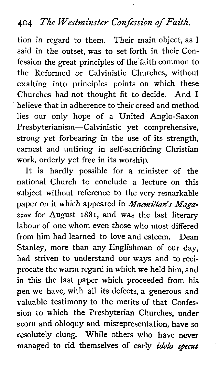# **404** *The Westminster Confession* **of** *Faith.*

tion in regard to them. Their main object, as I said in the outset, was to set forth in their Confession the great principles of the faith common to the Reformed or Calvinistic Churches, without exalting into principles points on which these Churches had not thought fit to decide. And I believe that in adherence to their creed and method lies our only hope of a United Anglo-Saxon Presbyterianism-Calvinistic yet comprehensive, strong yet forbearing in the use of its strength, earnest and untiring in self-sacrificing Christian work, orderly yet free in its worship.

It is hardly possible for a minister of the national Church to conclude a lecture on this subject without reference to the very remarkable paper on it which appeared in *Macmillan's Maga*zine for August 1881, and was the last literary labour of one whom even those who most differed from him had learned to love and esteem. Dean Stanley, more than any Englishman of our day, had striven to understand our ways and to reciprocate the warm regard in which we held him, and in this the last paper which proceeded from his pen we have, with all its defects, a generous and valuable testimony to the merits of that Confession to which the Presbyterian Churches, under scorn and obloquy and misrepresentation, have so resolutely clung. While others who have never managed to rid themselves of early *idola* **specus**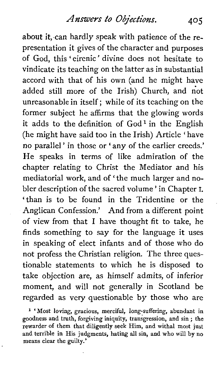about it, can hardly speak with patience of the representation it gives of the character and purposes of God, this 'eirenic' divine does not hesitate to vindicate its teaching on the latter as in substantial accord with that of his own (and he might have added still more of the Irish) Church, and not unreasonable in itself; while of its teaching on the former subject he affirms that the glowing words it adds to the definition of  $God<sup>1</sup>$  in the English (he might have said too in the Irish) Article 'have no parallel' in those or 'any of the earlier creeds.' He speaks in terms of like admiration of the chapter relating to Christ the Mediator and his mediatorial work, and of 'the much larger and nobler description of the sacred volume ' in Chapter I. 'than is to be found in the Tridentine or the Anglican Confession.' And from a different point of view from that I have thought fit to take, he finds something to say for the language it uses in speaking of elect infants and of those who do not profess the Christian religion. The three questionable statements to which he is disposed to take objection are, as himself admits, of inferior moment, and will not generally in Scotland be regarded as very questionable by those who are

**<sup>l</sup>**'Most loving, gracious, merciful, long-suffering, abundant in goodness and truth, forgiving iniquity, transgression, and sin ; the rewarder of them that diligently seek Him, and withal most just and terrible in His judgments, hating all sin, and who will by no means clear the guilty.'